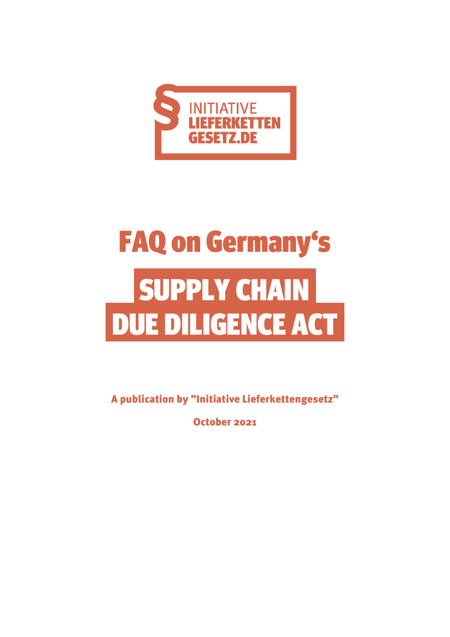

# FAQ on Germany's SUPPLY CHAIN DUE DILIGENCE ACT

A publication by "Initiative Lieferkettengesetz"

October 2021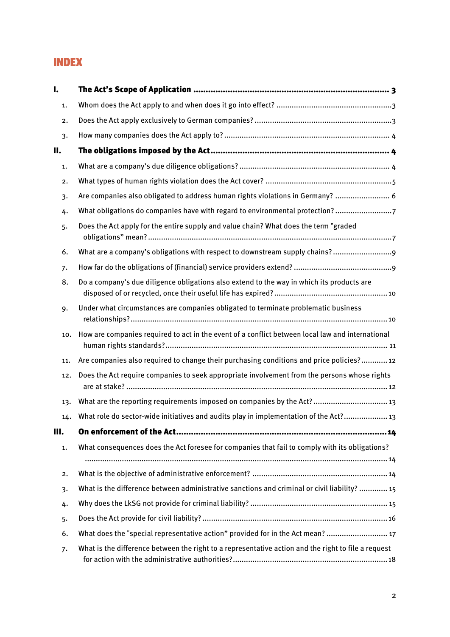#### INDEX

| I.  |                                                                                                     |
|-----|-----------------------------------------------------------------------------------------------------|
| 1.  |                                                                                                     |
| 2.  |                                                                                                     |
| 3.  |                                                                                                     |
| П.  |                                                                                                     |
| 1.  |                                                                                                     |
| 2.  |                                                                                                     |
| 3.  | Are companies also obligated to address human rights violations in Germany?  6                      |
| 4.  | What obligations do companies have with regard to environmental protection?7                        |
| 5.  | Does the Act apply for the entire supply and value chain? What does the term "graded                |
| 6.  |                                                                                                     |
| 7.  |                                                                                                     |
| 8.  | Do a company's due diligence obligations also extend to the way in which its products are           |
| 9.  | Under what circumstances are companies obligated to terminate problematic business                  |
| 10. | How are companies required to act in the event of a conflict between local law and international    |
| 11. | Are companies also required to change their purchasing conditions and price policies? 12            |
| 12. | Does the Act require companies to seek appropriate involvement from the persons whose rights        |
| 13. | What are the reporting requirements imposed on companies by the Act?  13                            |
| 14. | What role do sector-wide initiatives and audits play in implementation of the Act? 13               |
| Ш.  |                                                                                                     |
| 1.  | What consequences does the Act foresee for companies that fail to comply with its obligations?      |
| 2.  |                                                                                                     |
| 3.  | What is the difference between administrative sanctions and criminal or civil liability?  15        |
| 4.  |                                                                                                     |
| 5.  |                                                                                                     |
| 6.  | What does the "special representative action" provided for in the Act mean?  17                     |
| 7.  | What is the difference between the right to a representative action and the right to file a request |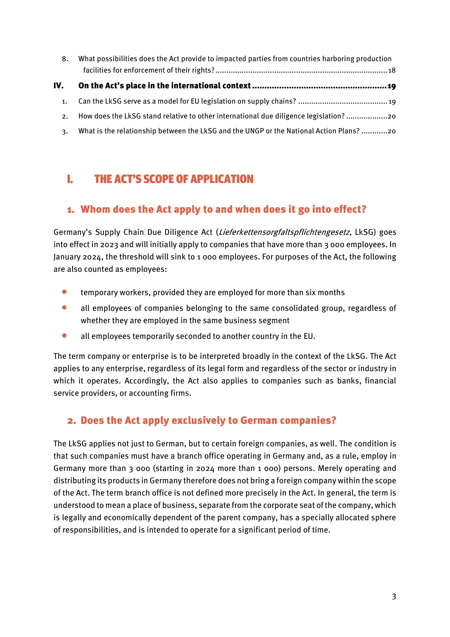| 8.  | What possibilities does the Act provide to impacted parties from countries harboring production |
|-----|-------------------------------------------------------------------------------------------------|
| IV. |                                                                                                 |
| 1.  |                                                                                                 |
| 2.  | How does the LkSG stand relative to other international due diligence legislation?20            |
| 3.  | What is the relationship between the LkSG and the UNGP or the National Action Plans? 20         |

# <span id="page-2-0"></span>I. THE ACT'S SCOPE OF APPLICATION

#### <span id="page-2-1"></span>1. Whom does the Act apply to and when does it go into effect?

Germany's Supply Chain Due Diligence Act (Lieferkettensorgfaltspflichtengesetz, LkSG) goes into effect in 2023 and will initially apply to companies that have more than 3 000 employees. In January 2024, the threshold will sink to 1 000 employees. For purposes of the Act, the following are also counted as employees:

- **•** temporary workers, provided they are employed for more than six months
- all employees of companies belonging to the same consolidated group, regardless of whether they are employed in the same business segment
- all employees temporarily seconded to another country in the EU.

The term company or enterprise is to be interpreted broadly in the context of the LkSG. The Act applies to any enterprise, regardless of its legal form and regardless of the sector or industry in which it operates. Accordingly, the Act also applies to companies such as banks, financial service providers, or accounting firms.

#### <span id="page-2-2"></span>2. Does the Act apply exclusively to German companies?

The LkSG applies not just to German, but to certain foreign companies, as well. The condition is that such companies must have a branch office operating in Germany and, as a rule, employ in Germany more than 3 000 (starting in 2024 more than 1 000) persons. Merely operating and distributing its products in Germany therefore does not bring a foreign company within the scope of the Act. The term branch office is not defined more precisely in the Act. In general, the term is understood to mean a place of business, separate from the corporate seat of the company, which is legally and economically dependent of the parent company, has a specially allocated sphere of responsibilities, and is intended to operate for a significant period of time.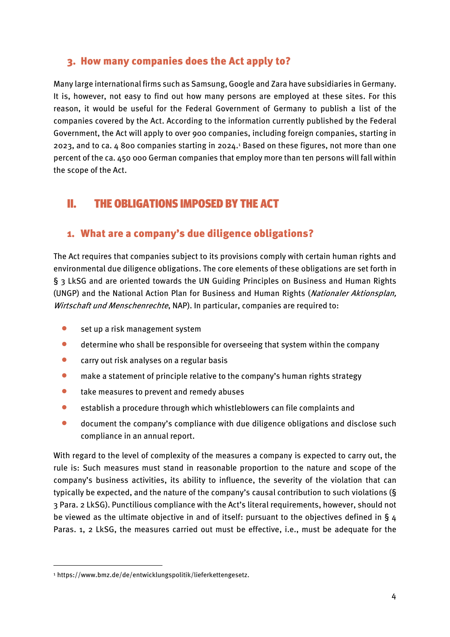#### <span id="page-3-0"></span>3. How many companies does the Act apply to?

Many large international firms such as Samsung, Google and Zara have subsidiaries in Germany. It is, however, not easy to find out how many persons are employed at these sites. For this reason, it would be useful for the Federal Government of Germany to publish a list of the companies covered by the Act. According to the information currently published by the Federal Government, the Act will apply to over 900 companies, including foreign companies, starting in 2023, and to ca. 4 800 companies starting in 2024. <sup>1</sup> Based on these figures, not more than one percent of the ca. 450 000 German companies that employ more than ten persons will fall within the scope of the Act.

## <span id="page-3-1"></span>II. THE OBLIGATIONS IMPOSED BY THE ACT

#### <span id="page-3-2"></span>1. What are a company's due diligence obligations?

The Act requires that companies subject to its provisions comply with certain human rights and environmental due diligence obligations. The core elements of these obligations are set forth in § 3 LkSG and are oriented towards the UN Guiding Principles on Business and Human Rights (UNGP) and the National Action Plan for Business and Human Rights (Nationaler Aktionsplan, Wirtschaft und Menschenrechte, NAP). In particular, companies are required to:

- $\bullet$  set up a risk management system
- determine who shall be responsible for overseeing that system within the company
- **•** carry out risk analyses on a regular basis
- **•** make a statement of principle relative to the company's human rights strategy
- take measures to prevent and remedy abuses
- establish a procedure through which whistleblowers can file complaints and
- document the company's compliance with due diligence obligations and disclose such compliance in an annual report.

With regard to the level of complexity of the measures a company is expected to carry out, the rule is: Such measures must stand in reasonable proportion to the nature and scope of the company's business activities, its ability to influence, the severity of the violation that can typically be expected, and the nature of the company's causal contribution to such violations (§ 3 Para. 2 LkSG). Punctilious compliance with the Act's literal requirements, however, should not be viewed as the ultimate objective in and of itself: pursuant to the objectives defined in §  $\mu$ Paras. 1, 2 LkSG, the measures carried out must be effective, i.e., must be adequate for the

**.** 

<sup>1</sup> https://www.bmz.de/de/entwicklungspolitik/lieferkettengesetz.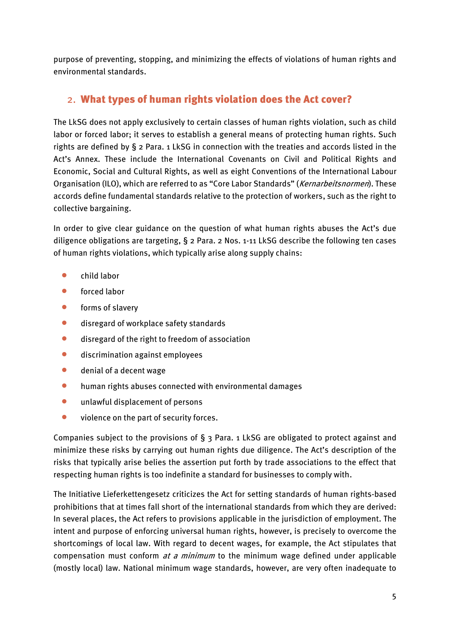purpose of preventing, stopping, and minimizing the effects of violations of human rights and environmental standards.

#### <span id="page-4-0"></span>2. What types of human rights violation does the Act cover?

The LkSG does not apply exclusively to certain classes of human rights violation, such as child labor or forced labor; it serves to establish a general means of protecting human rights. Such rights are defined by § 2 Para. 1 LkSG in connection with the treaties and accords listed in the Act's Annex. These include the International Covenants on Civil and Political Rights and Economic, Social and Cultural Rights, as well as eight Conventions of the International Labour Organisation (ILO), which are referred to as "Core Labor Standards" (Kernarbeitsnormen). These accords define fundamental standards relative to the protection of workers, such as the right to collective bargaining.

In order to give clear guidance on the question of what human rights abuses the Act's due diligence obligations are targeting, § 2 Para. 2 Nos. 1-11 LkSG describe the following ten cases of human rights violations, which typically arise along supply chains:

- **•** child labor
- forced labor
- **•** forms of slavery
- **disregard of workplace safety standards**
- disregard of the right to freedom of association
- **•** discrimination against employees
- denial of a decent wage
- human rights abuses connected with environmental damages
- **•** unlawful displacement of persons
- **violence on the part of security forces.**

Companies subject to the provisions of § 3 Para. 1 LkSG are obligated to protect against and minimize these risks by carrying out human rights due diligence. The Act's description of the risks that typically arise belies the assertion put forth by trade associations to the effect that respecting human rights is too indefinite a standard for businesses to comply with.

The Initiative Lieferkettengesetz criticizes the Act for setting standards of human rights-based prohibitions that at times fall short of the international standards from which they are derived: In several places, the Act refers to provisions applicable in the jurisdiction of employment. The intent and purpose of enforcing universal human rights, however, is precisely to overcome the shortcomings of local law. With regard to decent wages, for example, the Act stipulates that compensation must conform  $at$  a minimum to the minimum wage defined under applicable (mostly local) law. National minimum wage standards, however, are very often inadequate to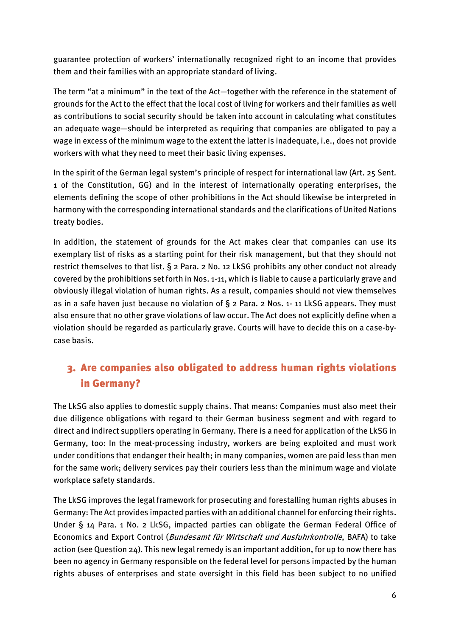guarantee protection of workers' internationally recognized right to an income that provides them and their families with an appropriate standard of living.

The term "at a minimum" in the text of the Act—together with the reference in the statement of grounds for the Act to the effect that the local cost of living for workers and their families as well as contributions to social security should be taken into account in calculating what constitutes an adequate wage—should be interpreted as requiring that companies are obligated to pay a wage in excess of the minimum wage to the extent the latter is inadequate, i.e., does not provide workers with what they need to meet their basic living expenses.

In the spirit of the German legal system's principle of respect for international law (Art. 25 Sent. 1 of the Constitution, GG) and in the interest of internationally operating enterprises, the elements defining the scope of other prohibitions in the Act should likewise be interpreted in harmony with the corresponding international standards and the clarifications of United Nations treaty bodies.

In addition, the statement of grounds for the Act makes clear that companies can use its exemplary list of risks as a starting point for their risk management, but that they should not restrict themselves to that list. § 2 Para. 2 No. 12 LkSG prohibits any other conduct not already covered by the prohibitions set forth in Nos. 1-11, which is liable to cause a particularly grave and obviously illegal violation of human rights. As a result, companies should not view themselves as in a safe haven just because no violation of § 2 Para. 2 Nos. 1- 11 LkSG appears. They must also ensure that no other grave violations of law occur. The Act does not explicitly define when a violation should be regarded as particularly grave. Courts will have to decide this on a case-bycase basis.

## <span id="page-5-0"></span>3. Are companies also obligated to address human rights violations in Germany?

The LkSG also applies to domestic supply chains. That means: Companies must also meet their due diligence obligations with regard to their German business segment and with regard to direct and indirect suppliers operating in Germany. There is a need for application of the LkSG in Germany, too: In the meat-processing industry, workers are being exploited and must work under conditions that endanger their health; in many companies, women are paid less than men for the same work; delivery services pay their couriers less than the minimum wage and violate workplace safety standards.

The LkSG improves the legal framework for prosecuting and forestalling human rights abuses in Germany: The Act provides impacted parties with an additional channel for enforcing their rights. Under § 14 Para. 1 No. 2 LkSG, impacted parties can obligate the German Federal Office of Economics and Export Control (Bundesamt für Wirtschaft und Ausfuhrkontrolle, BAFA) to take action (see Question 24). This new legal remedy is an important addition, for up to now there has been no agency in Germany responsible on the federal level for persons impacted by the human rights abuses of enterprises and state oversight in this field has been subject to no unified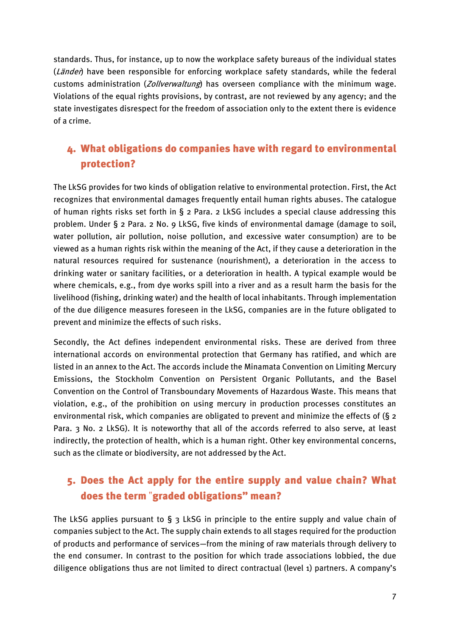standards. Thus, for instance, up to now the workplace safety bureaus of the individual states (Länder) have been responsible for enforcing workplace safety standards, while the federal customs administration (Zollverwaltung) has overseen compliance with the minimum wage. Violations of the equal rights provisions, by contrast, are not reviewed by any agency; and the state investigates disrespect for the freedom of association only to the extent there is evidence of a crime.

#### <span id="page-6-0"></span>4. What obligations do companies have with regard to environmental protection?

The LkSG provides for two kinds of obligation relative to environmental protection. First, the Act recognizes that environmental damages frequently entail human rights abuses. The catalogue of human rights risks set forth in § 2 Para. 2 LkSG includes a special clause addressing this problem. Under § 2 Para. 2 No. 9 LkSG, five kinds of environmental damage (damage to soil, water pollution, air pollution, noise pollution, and excessive water consumption) are to be viewed as a human rights risk within the meaning of the Act, if they cause a deterioration in the natural resources required for sustenance (nourishment), a deterioration in the access to drinking water or sanitary facilities, or a deterioration in health. A typical example would be where chemicals, e.g., from dye works spill into a river and as a result harm the basis for the livelihood (fishing, drinking water) and the health of local inhabitants. Through implementation of the due diligence measures foreseen in the LkSG, companies are in the future obligated to prevent and minimize the effects of such risks.

Secondly, the Act defines independent environmental risks. These are derived from three international accords on environmental protection that Germany has ratified, and which are listed in an annex to the Act. The accords include the Minamata Convention on Limiting Mercury Emissions, the Stockholm Convention on Persistent Organic Pollutants, and the Basel Convention on the Control of Transboundary Movements of Hazardous Waste. This means that violation, e.g., of the prohibition on using mercury in production processes constitutes an environmental risk, which companies are obligated to prevent and minimize the effects of  $(S_2$ Para. 3 No. 2 LkSG). It is noteworthy that all of the accords referred to also serve, at least indirectly, the protection of health, which is a human right. Other key environmental concerns, such as the climate or biodiversity, are not addressed by the Act.

## <span id="page-6-1"></span>5. Does the Act apply for the entire supply and value chain? What does the term "graded obligations" mean?

The LkSG applies pursuant to  $\S$  3 LkSG in principle to the entire supply and value chain of companies subject to the Act. The supply chain extends to all stages required for the production of products and performance of services—from the mining of raw materials through delivery to the end consumer. In contrast to the position for which trade associations lobbied, the due diligence obligations thus are not limited to direct contractual (level 1) partners. A company's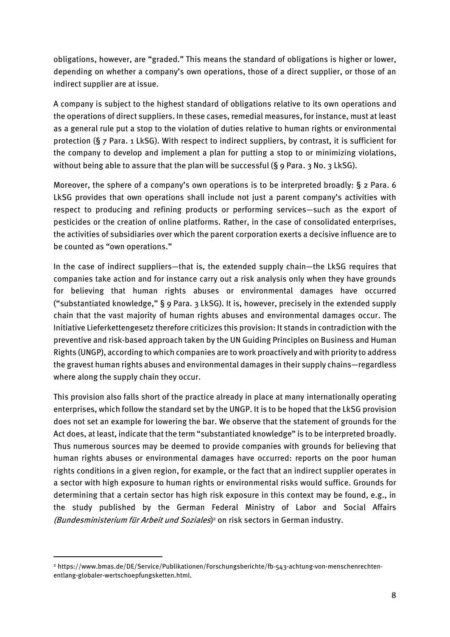obligations, however, are "graded." This means the standard of obligations is higher or lower, depending on whether a company's own operations, those of a direct supplier, or those of an indirect supplier are at issue.

A company is subject to the highest standard of obligations relative to its own operations and the operations of direct suppliers. In these cases, remedial measures, for instance, must at least as a general rule put a stop to the violation of duties relative to human rights or environmental protection (§ 7 Para. 1 LkSG). With respect to indirect suppliers, by contrast, it is sufficient for the company to develop and implement a plan for putting a stop to or minimizing violations, without being able to assure that the plan will be successful ( $\S$   $9$  Para.  $3$  No.  $3$  LkSG).

Moreover, the sphere of a company's own operations is to be interpreted broadly:  $\S$  2 Para. 6 LkSG provides that own operations shall include not just a parent company's activities with respect to producing and refining products or performing services—such as the export of pesticides or the creation of online platforms. Rather, in the case of consolidated enterprises, the activities of subsidiaries over which the parent corporation exerts a decisive influence are to be counted as "own operations."

In the case of indirect suppliers—that is, the extended supply chain—the LkSG requires that companies take action and for instance carry out a risk analysis only when they have grounds for believing that human rights abuses or environmental damages have occurred ("substantiated knowledge," § 9 Para. 3 LkSG). It is, however, precisely in the extended supply chain that the vast majority of human rights abuses and environmental damages occur. The Initiative Lieferkettengesetz therefore criticizes this provision: It stands in contradiction with the preventive and risk-based approach taken by the UN Guiding Principles on Business and Human Rights (UNGP), according to which companies are to work proactively and with priority to address the gravest human rights abuses and environmental damages in their supply chains—regardless where along the supply chain they occur.

This provision also falls short of the practice already in place at many internationally operating enterprises, which follow the standard set by the UNGP. It is to be hoped that the LkSG provision does not set an example for lowering the bar. We observe that the statement of grounds for the Act does, at least, indicate that the term "substantiated knowledge" is to be interpreted broadly. Thus numerous sources may be deemed to provide companies with grounds for believing that human rights abuses or environmental damages have occurred: reports on the poor human rights conditions in a given region, for example, or the fact that an indirect supplier operates in a sector with high exposure to human rights or environmental risks would suffice. Grounds for determining that a certain sector has high risk exposure in this context may be found, e.g., in the study published by the German Federal Ministry of Labor and Social Affairs (Bundesministerium für Arbeit und Soziales)<sup>2</sup> on risk sectors in German industry.

**.** 

<sup>2</sup> https://www.bmas.de/DE/Service/Publikationen/Forschungsberichte/fb-543-achtung-von-menschenrechtenentlang-globaler-wertschoepfungsketten.html.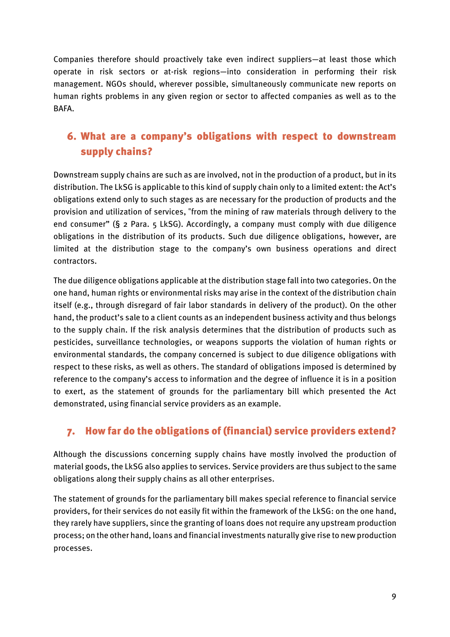Companies therefore should proactively take even indirect suppliers—at least those which operate in risk sectors or at-risk regions—into consideration in performing their risk management. NGOs should, wherever possible, simultaneously communicate new reports on human rights problems in any given region or sector to affected companies as well as to the BAFA.

## <span id="page-8-0"></span>6. What are a company's obligations with respect to downstream supply chains?

Downstream supply chains are such as are involved, not in the production of a product, but in its distribution. The LkSG is applicable to this kind of supply chain only to a limited extent: the Act's obligations extend only to such stages as are necessary for the production of products and the provision and utilization of services, "from the mining of raw materials through delivery to the end consumer" (§ 2 Para. 5 LkSG). Accordingly, a company must comply with due diligence obligations in the distribution of its products. Such due diligence obligations, however, are limited at the distribution stage to the company's own business operations and direct contractors.

The due diligence obligations applicable at the distribution stage fall into two categories. On the one hand, human rights or environmental risks may arise in the context of the distribution chain itself (e.g., through disregard of fair labor standards in delivery of the product). On the other hand, the product's sale to a client counts as an independent business activity and thus belongs to the supply chain. If the risk analysis determines that the distribution of products such as pesticides, surveillance technologies, or weapons supports the violation of human rights or environmental standards, the company concerned is subject to due diligence obligations with respect to these risks, as well as others. The standard of obligations imposed is determined by reference to the company's access to information and the degree of influence it is in a position to exert, as the statement of grounds for the parliamentary bill which presented the Act demonstrated, using financial service providers as an example.

#### <span id="page-8-1"></span>7. How far do the obligations of (financial) service providers extend?

Although the discussions concerning supply chains have mostly involved the production of material goods, the LkSG also applies to services. Service providers are thus subject to the same obligations along their supply chains as all other enterprises.

The statement of grounds for the parliamentary bill makes special reference to financial service providers, for their services do not easily fit within the framework of the LkSG: on the one hand, they rarely have suppliers, since the granting of loans does not require any upstream production process; on the other hand, loans and financial investments naturally give rise to new production processes.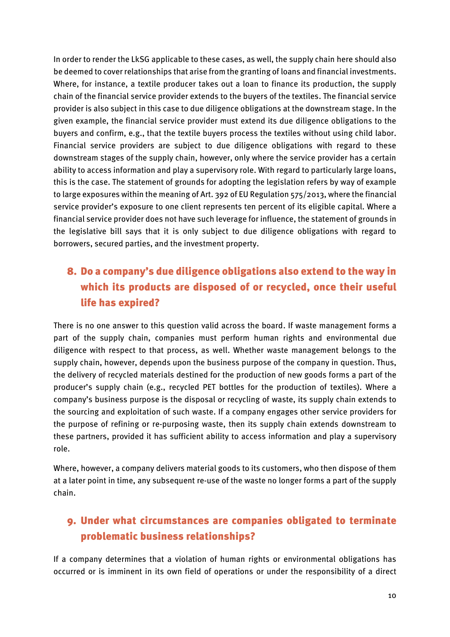In order to render the LkSG applicable to these cases, as well, the supply chain here should also be deemed to cover relationships that arise from the granting of loans and financial investments. Where, for instance, a textile producer takes out a loan to finance its production, the supply chain of the financial service provider extends to the buyers of the textiles. The financial service provider is also subject in this case to due diligence obligations at the downstream stage. In the given example, the financial service provider must extend its due diligence obligations to the buyers and confirm, e.g., that the textile buyers process the textiles without using child labor. Financial service providers are subject to due diligence obligations with regard to these downstream stages of the supply chain, however, only where the service provider has a certain ability to access information and play a supervisory role. With regard to particularly large loans, this is the case. The statement of grounds for adopting the legislation refers by way of example to large exposures within the meaning of Art. 392 of EU Regulation 575/2013, where the financial service provider's exposure to one client represents ten percent of its eligible capital. Where a financial service provider does not have such leverage for influence, the statement of grounds in the legislative bill says that it is only subject to due diligence obligations with regard to borrowers, secured parties, and the investment property.

## <span id="page-9-0"></span>8. Do a company's due diligence obligations also extend to the way in which its products are disposed of or recycled, once their useful life has expired?

There is no one answer to this question valid across the board. If waste management forms a part of the supply chain, companies must perform human rights and environmental due diligence with respect to that process, as well. Whether waste management belongs to the supply chain, however, depends upon the business purpose of the company in question. Thus, the delivery of recycled materials destined for the production of new goods forms a part of the producer's supply chain (e.g., recycled PET bottles for the production of textiles). Where a company's business purpose is the disposal or recycling of waste, its supply chain extends to the sourcing and exploitation of such waste. If a company engages other service providers for the purpose of refining or re-purposing waste, then its supply chain extends downstream to these partners, provided it has sufficient ability to access information and play a supervisory role.

Where, however, a company delivers material goods to its customers, who then dispose of them at a later point in time, any subsequent re-use of the waste no longer forms a part of the supply chain.

## <span id="page-9-1"></span>9. Under what circumstances are companies obligated to terminate problematic business relationships?

If a company determines that a violation of human rights or environmental obligations has occurred or is imminent in its own field of operations or under the responsibility of a direct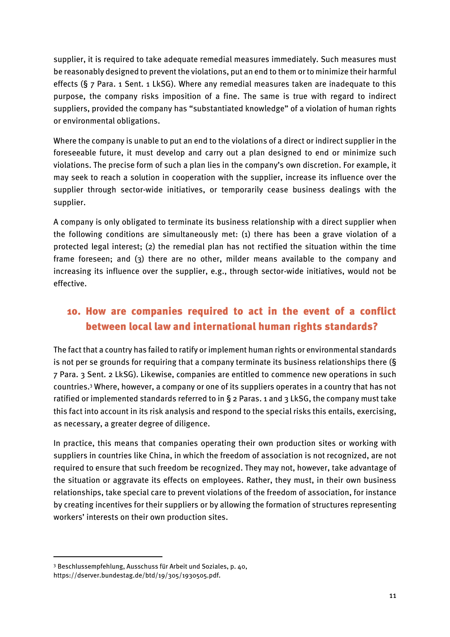supplier, it is required to take adequate remedial measures immediately. Such measures must be reasonably designed to prevent the violations, put an end to them or to minimize their harmful effects (§ 7 Para. 1 Sent. 1 LkSG). Where any remedial measures taken are inadequate to this purpose, the company risks imposition of a fine. The same is true with regard to indirect suppliers, provided the company has "substantiated knowledge" of a violation of human rights or environmental obligations.

Where the company is unable to put an end to the violations of a direct or indirect supplier in the foreseeable future, it must develop and carry out a plan designed to end or minimize such violations. The precise form of such a plan lies in the company's own discretion. For example, it may seek to reach a solution in cooperation with the supplier, increase its influence over the supplier through sector-wide initiatives, or temporarily cease business dealings with the supplier.

A company is only obligated to terminate its business relationship with a direct supplier when the following conditions are simultaneously met: (1) there has been a grave violation of a protected legal interest; (2) the remedial plan has not rectified the situation within the time frame foreseen; and (3) there are no other, milder means available to the company and increasing its influence over the supplier, e.g., through sector-wide initiatives, would not be effective.

#### <span id="page-10-0"></span>10. How are companies required to act in the event of a conflict between local law and international human rights standards?

The fact that a country has failed to ratify or implement human rights or environmental standards is not per se grounds for requiring that a company terminate its business relationships there (§ 7 Para. 3 Sent. 2 LkSG). Likewise, companies are entitled to commence new operations in such countries. <sup>3</sup> Where, however, a company or one of its suppliers operates in a country that has not ratified or implemented standards referred to in § 2 Paras. 1 and 3 LkSG, the company must take this fact into account in its risk analysis and respond to the special risks this entails, exercising, as necessary, a greater degree of diligence.

In practice, this means that companies operating their own production sites or working with suppliers in countries like China, in which the freedom of association is not recognized, are not required to ensure that such freedom be recognized. They may not, however, take advantage of the situation or aggravate its effects on employees. Rather, they must, in their own business relationships, take special care to prevent violations of the freedom of association, for instance by creating incentives for their suppliers or by allowing the formation of structures representing workers' interests on their own production sites.

**.** 

<sup>3</sup> Beschlussempfehlung, Ausschuss für Arbeit und Soziales, p. 40,

https://dserver.bundestag.de/btd/19/305/1930505.pdf.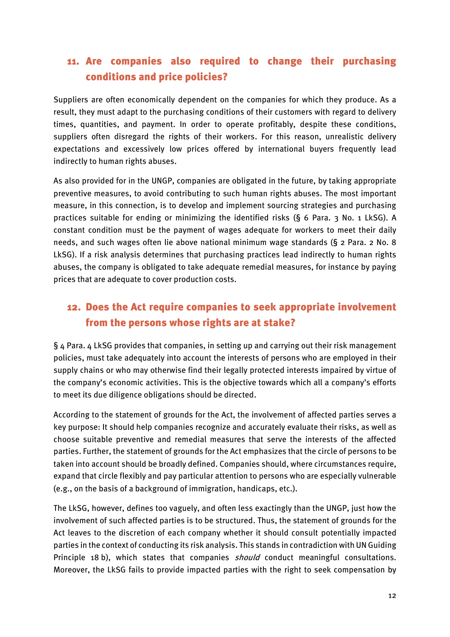## <span id="page-11-0"></span>11. Are companies also required to change their purchasing conditions and price policies?

Suppliers are often economically dependent on the companies for which they produce. As a result, they must adapt to the purchasing conditions of their customers with regard to delivery times, quantities, and payment. In order to operate profitably, despite these conditions, suppliers often disregard the rights of their workers. For this reason, unrealistic delivery expectations and excessively low prices offered by international buyers frequently lead indirectly to human rights abuses.

As also provided for in the UNGP, companies are obligated in the future, by taking appropriate preventive measures, to avoid contributing to such human rights abuses. The most important measure, in this connection, is to develop and implement sourcing strategies and purchasing practices suitable for ending or minimizing the identified risks (§ 6 Para. 3 No. 1 LkSG). A constant condition must be the payment of wages adequate for workers to meet their daily needs, and such wages often lie above national minimum wage standards (§ 2 Para. 2 No. 8 LkSG). If a risk analysis determines that purchasing practices lead indirectly to human rights abuses, the company is obligated to take adequate remedial measures, for instance by paying prices that are adequate to cover production costs.

#### <span id="page-11-1"></span>12. Does the Act require companies to seek appropriate involvement from the persons whose rights are at stake?

§ 4 Para. 4 LkSG provides that companies, in setting up and carrying out their risk management policies, must take adequately into account the interests of persons who are employed in their supply chains or who may otherwise find their legally protected interests impaired by virtue of the company's economic activities. This is the objective towards which all a company's efforts to meet its due diligence obligations should be directed.

According to the statement of grounds for the Act, the involvement of affected parties serves a key purpose: It should help companies recognize and accurately evaluate their risks, as well as choose suitable preventive and remedial measures that serve the interests of the affected parties. Further, the statement of grounds for the Act emphasizes that the circle of persons to be taken into account should be broadly defined. Companies should, where circumstances require, expand that circle flexibly and pay particular attention to persons who are especially vulnerable (e.g., on the basis of a background of immigration, handicaps, etc.).

The LkSG, however, defines too vaguely, and often less exactingly than the UNGP, just how the involvement of such affected parties is to be structured. Thus, the statement of grounds for the Act leaves to the discretion of each company whether it should consult potentially impacted parties in the context of conducting its risk analysis. This stands in contradiction with UN Guiding Principle 18 b), which states that companies *should* conduct meaningful consultations. Moreover, the LkSG fails to provide impacted parties with the right to seek compensation by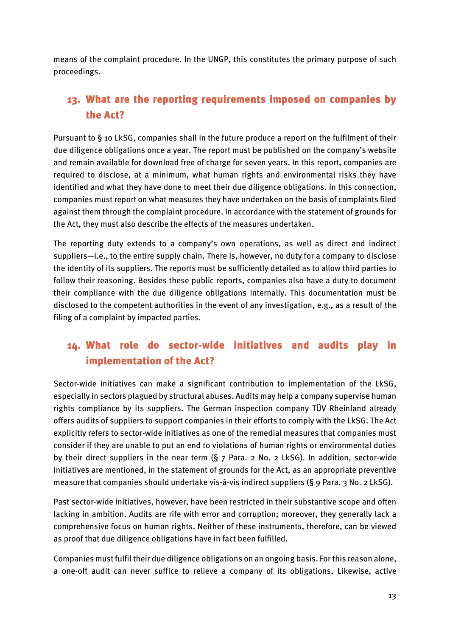means of the complaint procedure. In the UNGP, this constitutes the primary purpose of such proceedings.

## <span id="page-12-0"></span>13. What are the reporting requirements imposed on companies by the Act?

Pursuant to § 10 LkSG, companies shall in the future produce a report on the fulfilment of their due diligence obligations once a year. The report must be published on the company's website and remain available for download free of charge for seven years. In this report, companies are required to disclose, at a minimum, what human rights and environmental risks they have identified and what they have done to meet their due diligence obligations. In this connection, companies must report on what measures they have undertaken on the basis of complaints filed against them through the complaint procedure. In accordance with the statement of grounds for the Act, they must also describe the effects of the measures undertaken.

The reporting duty extends to a company's own operations, as well as direct and indirect suppliers—i.e., to the entire supply chain. There is, however, no duty for a company to disclose the identity of its suppliers. The reports must be sufficiently detailed as to allow third parties to follow their reasoning. Besides these public reports, companies also have a duty to document their compliance with the due diligence obligations internally. This documentation must be disclosed to the competent authorities in the event of any investigation, e.g., as a result of the filing of a complaint by impacted parties.

## <span id="page-12-1"></span>14. What role do sector-wide initiatives and audits play in implementation of the Act?

Sector-wide initiatives can make a significant contribution to implementation of the LkSG, especially in sectors plagued by structural abuses. Audits may help a company supervise human rights compliance by its suppliers. The German inspection company TÜV Rheinland already offers audits of suppliers to support companies in their efforts to comply with the LkSG. The Act explicitly refers to sector-wide initiatives as one of the remedial measures that companies must consider if they are unable to put an end to violations of human rights or environmental duties by their direct suppliers in the near term (§ 7 Para. 2 No. 2 LkSG). In addition, sector-wide initiatives are mentioned, in the statement of grounds for the Act, as an appropriate preventive measure that companies should undertake vis-à-vis indirect suppliers (§ 9 Para. 3 No. 2 LkSG).

Past sector-wide initiatives, however, have been restricted in their substantive scope and often lacking in ambition. Audits are rife with error and corruption; moreover, they generally lack a comprehensive focus on human rights. Neither of these instruments, therefore, can be viewed as proof that due diligence obligations have in fact been fulfilled.

Companies must fulfil their due diligence obligations on an ongoing basis. For this reason alone, a one-off audit can never suffice to relieve a company of its obligations. Likewise, active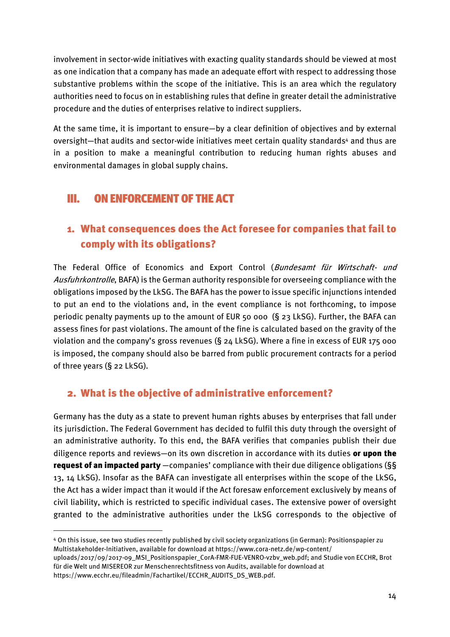involvement in sector-wide initiatives with exacting quality standards should be viewed at most as one indication that a company has made an adequate effort with respect to addressing those substantive problems within the scope of the initiative. This is an area which the regulatory authorities need to focus on in establishing rules that define in greater detail the administrative procedure and the duties of enterprises relative to indirect suppliers.

At the same time, it is important to ensure—by a clear definition of objectives and by external oversight-that audits and sector-wide initiatives meet certain quality standards<sup>4</sup> and thus are in a position to make a meaningful contribution to reducing human rights abuses and environmental damages in global supply chains.

#### <span id="page-13-0"></span>III. ON ENFORCEMENT OF THE ACT

1

#### <span id="page-13-1"></span>1. What consequences does the Act foresee for companies that fail to comply with its obligations?

The Federal Office of Economics and Export Control (Bundesamt für Wirtschaft- und Ausfuhrkontrolle, BAFA) is the German authority responsible for overseeing compliance with the obligations imposed by the LkSG. The BAFA has the power to issue specific injunctions intended to put an end to the violations and, in the event compliance is not forthcoming, to impose periodic penalty payments up to the amount of EUR 50 000 (§ 23 LkSG). Further, the BAFA can assess fines for past violations. The amount of the fine is calculated based on the gravity of the violation and the company's gross revenues (§ 24 LkSG). Where a fine in excess of EUR 175 000 is imposed, the company should also be barred from public procurement contracts for a period of three years (§ 22 LkSG).

#### <span id="page-13-2"></span>2. What is the objective of administrative enforcement?

Germany has the duty as a state to prevent human rights abuses by enterprises that fall under its jurisdiction. The Federal Government has decided to fulfil this duty through the oversight of an administrative authority. To this end, the BAFA verifies that companies publish their due diligence reports and reviews-on its own discretion in accordance with its duties or upon the request of an impacted party -companies' compliance with their due diligence obligations (§§ 13, 14 LkSG). Insofar as the BAFA can investigate all enterprises within the scope of the LkSG, the Act has a wider impact than it would if the Act foresaw enforcement exclusively by means of civil liability, which is restricted to specific individual cases. The extensive power of oversight granted to the administrative authorities under the LkSG corresponds to the objective of

<sup>4</sup> On this issue, see two studies recently published by civil society organizations (in German): Positionspapier zu Multistakeholder-Initiativen, available for download at https://www.cora-netz.de/wp-content/

uploads/2017/09/2017-09\_MSI\_Positionspapier\_CorA-FMR-FUE-VENRO-vzbv\_web.pdf; and Studie von ECCHR, Brot für die Welt und MISEREOR zur Menschenrechtsfitness von Audits, available for download at https://www.ecchr.eu/fileadmin/Fachartikel/ECCHR\_AUDITS\_DS\_WEB.pdf.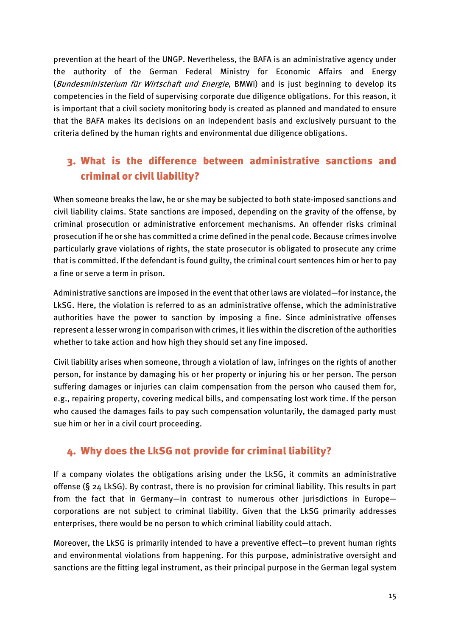prevention at the heart of the UNGP. Nevertheless, the BAFA is an administrative agency under the authority of the German Federal Ministry for Economic Affairs and Energy (Bundesministerium für Wirtschaft und Energie, BMWi) and is just beginning to develop its competencies in the field of supervising corporate due diligence obligations. For this reason, it is important that a civil society monitoring body is created as planned and mandated to ensure that the BAFA makes its decisions on an independent basis and exclusively pursuant to the criteria defined by the human rights and environmental due diligence obligations.

## <span id="page-14-0"></span>3. What is the difference between administrative sanctions and criminal or civil liability?

When someone breaks the law, he or she may be subjected to both state-imposed sanctions and civil liability claims. State sanctions are imposed, depending on the gravity of the offense, by criminal prosecution or administrative enforcement mechanisms. An offender risks criminal prosecution if he or she has committed a crime defined in the penal code. Because crimes involve particularly grave violations of rights, the state prosecutor is obligated to prosecute any crime that is committed. If the defendant is found guilty, the criminal court sentences him or her to pay a fine or serve a term in prison.

Administrative sanctions are imposed in the event that other laws are violated—for instance, the LkSG. Here, the violation is referred to as an administrative offense, which the administrative authorities have the power to sanction by imposing a fine. Since administrative offenses represent a lesser wrong in comparison with crimes, it lies within the discretion of the authorities whether to take action and how high they should set any fine imposed.

Civil liability arises when someone, through a violation of law, infringes on the rights of another person, for instance by damaging his or her property or injuring his or her person. The person suffering damages or injuries can claim compensation from the person who caused them for, e.g., repairing property, covering medical bills, and compensating lost work time. If the person who caused the damages fails to pay such compensation voluntarily, the damaged party must sue him or her in a civil court proceeding.

#### <span id="page-14-1"></span>4. Why does the LkSG not provide for criminal liability?

If a company violates the obligations arising under the LkSG, it commits an administrative offense (§ 24 LkSG). By contrast, there is no provision for criminal liability. This results in part from the fact that in Germany—in contrast to numerous other jurisdictions in Europe corporations are not subject to criminal liability. Given that the LkSG primarily addresses enterprises, there would be no person to which criminal liability could attach.

Moreover, the LkSG is primarily intended to have a preventive effect—to prevent human rights and environmental violations from happening. For this purpose, administrative oversight and sanctions are the fitting legal instrument, as their principal purpose in the German legal system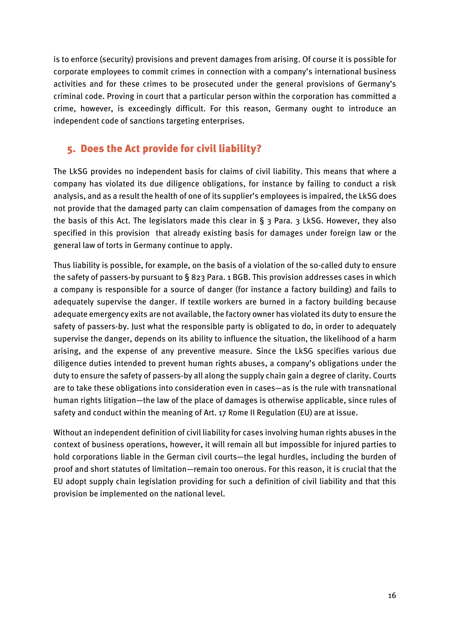is to enforce (security) provisions and prevent damages from arising. Of course it is possible for corporate employees to commit crimes in connection with a company's international business activities and for these crimes to be prosecuted under the general provisions of Germany's criminal code. Proving in court that a particular person within the corporation has committed a crime, however, is exceedingly difficult. For this reason, Germany ought to introduce an independent code of sanctions targeting enterprises.

#### <span id="page-15-0"></span>5. Does the Act provide for civil liability?

The LkSG provides no independent basis for claims of civil liability. This means that where a company has violated its due diligence obligations, for instance by failing to conduct a risk analysis, and as a result the health of one of its supplier's employees is impaired, the LkSG does not provide that the damaged party can claim compensation of damages from the company on the basis of this Act. The legislators made this clear in  $\S$  3 Para. 3 LkSG. However, they also specified in this provision that already existing basis for damages under foreign law or the general law of torts in Germany continue to apply.

Thus liability is possible, for example, on the basis of a violation of the so-called duty to ensure the safety of passers-by pursuant to § 823 Para. 1 BGB. This provision addresses cases in which a company is responsible for a source of danger (for instance a factory building) and fails to adequately supervise the danger. If textile workers are burned in a factory building because adequate emergency exits are not available, the factory owner has violated its duty to ensure the safety of passers-by. Just what the responsible party is obligated to do, in order to adequately supervise the danger, depends on its ability to influence the situation, the likelihood of a harm arising, and the expense of any preventive measure. Since the LkSG specifies various due diligence duties intended to prevent human rights abuses, a company's obligations under the duty to ensure the safety of passers-by all along the supply chain gain a degree of clarity. Courts are to take these obligations into consideration even in cases—as is the rule with transnational human rights litigation—the law of the place of damages is otherwise applicable, since rules of safety and conduct within the meaning of Art. 17 Rome II Regulation (EU) are at issue.

Without an independent definition of civil liability for cases involving human rights abuses in the context of business operations, however, it will remain all but impossible for injured parties to hold corporations liable in the German civil courts—the legal hurdles, including the burden of proof and short statutes of limitation—remain too onerous. For this reason, it is crucial that the EU adopt supply chain legislation providing for such a definition of civil liability and that this provision be implemented on the national level.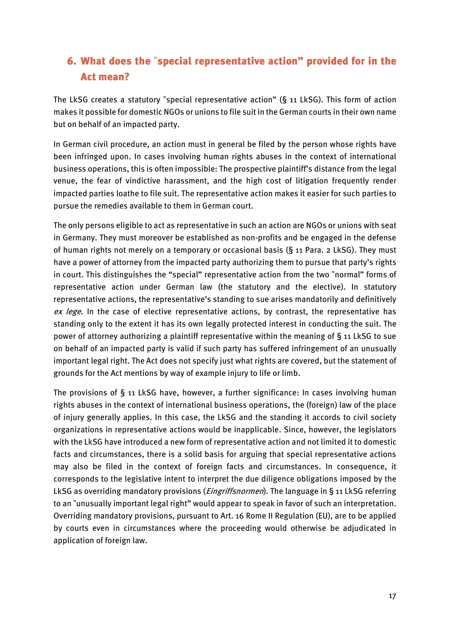## <span id="page-16-0"></span>6. What does the "special representative action" provided for in the Act mean?

The LkSG creates a statutory "special representative action" (§ 11 LkSG). This form of action makes it possible for domestic NGOs or unions to file suit in the German courts in their own name but on behalf of an impacted party.

In German civil procedure, an action must in general be filed by the person whose rights have been infringed upon. In cases involving human rights abuses in the context of international business operations, this is often impossible: The prospective plaintiff's distance from the legal venue, the fear of vindictive harassment, and the high cost of litigation frequently render impacted parties loathe to file suit. The representative action makes it easier for such parties to pursue the remedies available to them in German court.

The only persons eligible to act as representative in such an action are NGOs or unions with seat in Germany. They must moreover be established as non-profits and be engaged in the defense of human rights not merely on a temporary or occasional basis (§ 11 Para. 2 LkSG). They must have a power of attorney from the impacted party authorizing them to pursue that party's rights in court. This distinguishes the "special" representative action from the two "normal" forms of representative action under German law (the statutory and the elective). In statutory representative actions, the representative's standing to sue arises mandatorily and definitively ex lege. In the case of elective representative actions, by contrast, the representative has standing only to the extent it has its own legally protected interest in conducting the suit. The power of attorney authorizing a plaintiff representative within the meaning of § 11 LkSG to sue on behalf of an impacted party is valid if such party has suffered infringement of an unusually important legal right. The Act does not specify just what rights are covered, but the statement of grounds for the Act mentions by way of example injury to life or limb.

The provisions of § 11 LkSG have, however, a further significance: In cases involving human rights abuses in the context of international business operations, the (foreign) law of the place of injury generally applies. In this case, the LkSG and the standing it accords to civil society organizations in representative actions would be inapplicable. Since, however, the legislators with the LkSG have introduced a new form of representative action and not limited it to domestic facts and circumstances, there is a solid basis for arguing that special representative actions may also be filed in the context of foreign facts and circumstances. In consequence, it corresponds to the legislative intent to interpret the due diligence obligations imposed by the LkSG as overriding mandatory provisions (*Eingriffsnormen*). The language in § 11 LkSG referring to an "unusually important legal right" would appear to speak in favor of such an interpretation. Overriding mandatory provisions, pursuant to Art. 16 Rome II Regulation (EU), are to be applied by courts even in circumstances where the proceeding would otherwise be adjudicated in application of foreign law.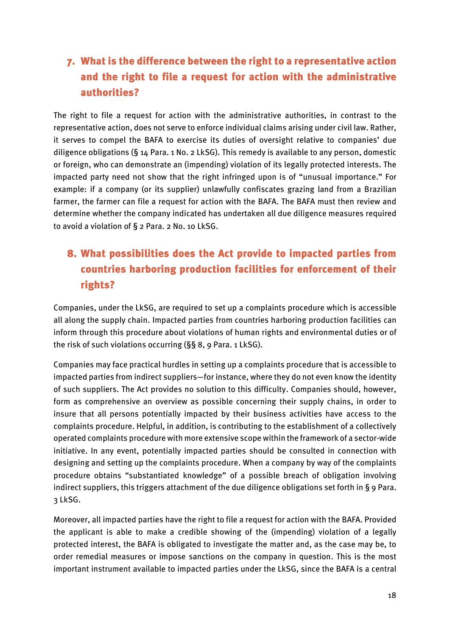## <span id="page-17-0"></span>7. What is the difference between the right to a representative action and the right to file a request for action with the administrative authorities?

The right to file a request for action with the administrative authorities, in contrast to the representative action, does not serve to enforce individual claims arising under civil law. Rather, it serves to compel the BAFA to exercise its duties of oversight relative to companies' due diligence obligations (§ 14 Para. 1 No. 2 LkSG). This remedy is available to any person, domestic or foreign, who can demonstrate an (impending) violation of its legally protected interests. The impacted party need not show that the right infringed upon is of "unusual importance." For example: if a company (or its supplier) unlawfully confiscates grazing land from a Brazilian farmer, the farmer can file a request for action with the BAFA. The BAFA must then review and determine whether the company indicated has undertaken all due diligence measures required to avoid a violation of § 2 Para. 2 No. 10 LkSG.

# <span id="page-17-1"></span>8. What possibilities does the Act provide to impacted parties from countries harboring production facilities for enforcement of their rights?

Companies, under the LkSG, are required to set up a complaints procedure which is accessible all along the supply chain. Impacted parties from countries harboring production facilities can inform through this procedure about violations of human rights and environmental duties or of the risk of such violations occurring (§§ 8, 9 Para. 1 LkSG).

Companies may face practical hurdles in setting up a complaints procedure that is accessible to impacted parties from indirect suppliers—for instance, where they do not even know the identity of such suppliers. The Act provides no solution to this difficulty. Companies should, however, form as comprehensive an overview as possible concerning their supply chains, in order to insure that all persons potentially impacted by their business activities have access to the complaints procedure. Helpful, in addition, is contributing to the establishment of a collectively operated complaints procedure with more extensive scope within the framework of a sector-wide initiative. In any event, potentially impacted parties should be consulted in connection with designing and setting up the complaints procedure. When a company by way of the complaints procedure obtains "substantiated knowledge" of a possible breach of obligation involving indirect suppliers, this triggers attachment of the due diligence obligations set forth in § 9 Para. 3 LkSG.

Moreover, all impacted parties have the right to file a request for action with the BAFA. Provided the applicant is able to make a credible showing of the (impending) violation of a legally protected interest, the BAFA is obligated to investigate the matter and, as the case may be, to order remedial measures or impose sanctions on the company in question. This is the most important instrument available to impacted parties under the LkSG, since the BAFA is a central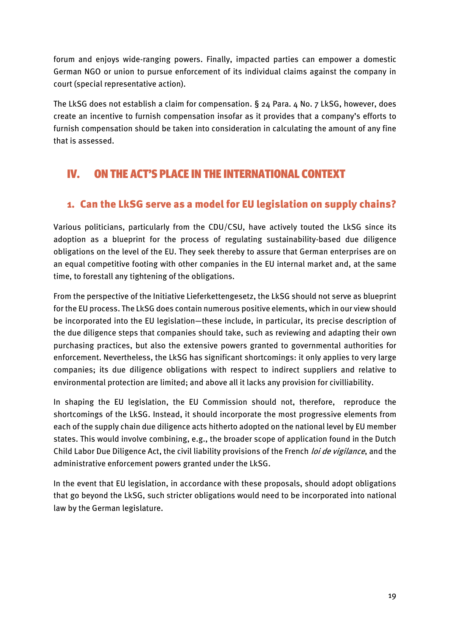forum and enjoys wide-ranging powers. Finally, impacted parties can empower a domestic German NGO or union to pursue enforcement of its individual claims against the company in court (special representative action).

The LkSG does not establish a claim for compensation. § 24 Para. 4 No. 7 LkSG, however, does create an incentive to furnish compensation insofar as it provides that a company's efforts to furnish compensation should be taken into consideration in calculating the amount of any fine that is assessed.

# <span id="page-18-0"></span>IV. ON THE ACT'S PLACE IN THE INTERNATIONAL CONTEXT

#### <span id="page-18-1"></span>1. Can the LkSG serve as a model for EU legislation on supply chains?

Various politicians, particularly from the CDU/CSU, have actively touted the LkSG since its adoption as a blueprint for the process of regulating sustainability-based due diligence obligations on the level of the EU. They seek thereby to assure that German enterprises are on an equal competitive footing with other companies in the EU internal market and, at the same time, to forestall any tightening of the obligations.

From the perspective of the Initiative Lieferkettengesetz, the LkSG should not serve as blueprint for the EU process. The LkSG does contain numerous positive elements, which in our view should be incorporated into the EU legislation—these include, in particular, its precise description of the due diligence steps that companies should take, such as reviewing and adapting their own purchasing practices, but also the extensive powers granted to governmental authorities for enforcement. Nevertheless, the LkSG has significant shortcomings: it only applies to very large companies; its due diligence obligations with respect to indirect suppliers and relative to environmental protection are limited; and above all it lacks any provision for civilliability.

In shaping the EU legislation, the EU Commission should not, therefore, reproduce the shortcomings of the LkSG. Instead, it should incorporate the most progressive elements from each of the supply chain due diligence acts hitherto adopted on the national level by EU member states. This would involve combining, e.g., the broader scope of application found in the Dutch Child Labor Due Diligence Act, the civil liability provisions of the French *loi de vigilance*, and the administrative enforcement powers granted under the LkSG.

In the event that EU legislation, in accordance with these proposals, should adopt obligations that go beyond the LkSG, such stricter obligations would need to be incorporated into national law by the German legislature.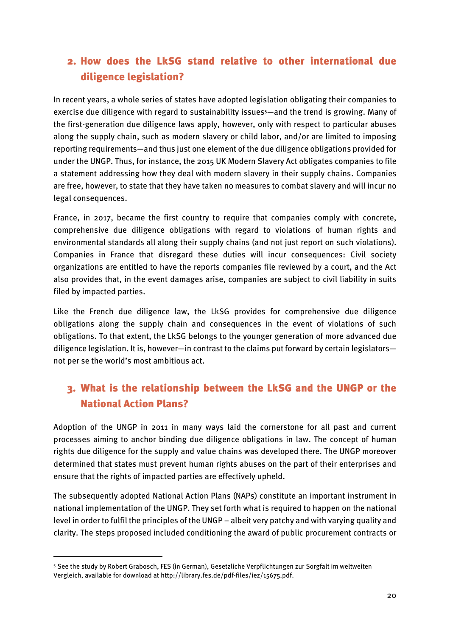## <span id="page-19-0"></span>2. How does the LkSG stand relative to other international due diligence legislation?

In recent years, a whole series of states have adopted legislation obligating their companies to exercise due diligence with regard to sustainability issues<sup>5</sup>—and the trend is growing. Many of the first-generation due diligence laws apply, however, only with respect to particular abuses along the supply chain, such as modern slavery or child labor, and/or are limited to imposing reporting requirements—and thus just one element of the due diligence obligations provided for under the UNGP. Thus, for instance, the 2015 UK Modern Slavery Act obligates companies to file a statement addressing how they deal with modern slavery in their supply chains. Companies are free, however, to state that they have taken no measures to combat slavery and will incur no legal consequences.

France, in 2017, became the first country to require that companies comply with concrete, comprehensive due diligence obligations with regard to violations of human rights and environmental standards all along their supply chains (and not just report on such violations). Companies in France that disregard these duties will incur consequences: Civil society organizations are entitled to have the reports companies file reviewed by a court, and the Act also provides that, in the event damages arise, companies are subject to civil liability in suits filed by impacted parties.

Like the French due diligence law, the LkSG provides for comprehensive due diligence obligations along the supply chain and consequences in the event of violations of such obligations. To that extent, the LkSG belongs to the younger generation of more advanced due diligence legislation. It is, however—in contrast to the claims put forward by certain legislators not per se the world's most ambitious act.

## <span id="page-19-1"></span>3. What is the relationship between the LkSG and the UNGP or the National Action Plans?

Adoption of the UNGP in 2011 in many ways laid the cornerstone for all past and current processes aiming to anchor binding due diligence obligations in law. The concept of human rights due diligence for the supply and value chains was developed there. The UNGP moreover determined that states must prevent human rights abuses on the part of their enterprises and ensure that the rights of impacted parties are effectively upheld.

The subsequently adopted National Action Plans (NAPs) constitute an important instrument in national implementation of the UNGP. They set forth what is required to happen on the national level in order to fulfil the principles of the UNGP – albeit very patchy and with varying quality and clarity. The steps proposed included conditioning the award of public procurement contracts or

**.** 

<sup>5</sup> See the study by Robert Grabosch, FES (in German), Gesetzliche Verpflichtungen zur Sorgfalt im weltweiten Vergleich, available for download at http://library.fes.de/pdf-files/iez/15675.pdf.